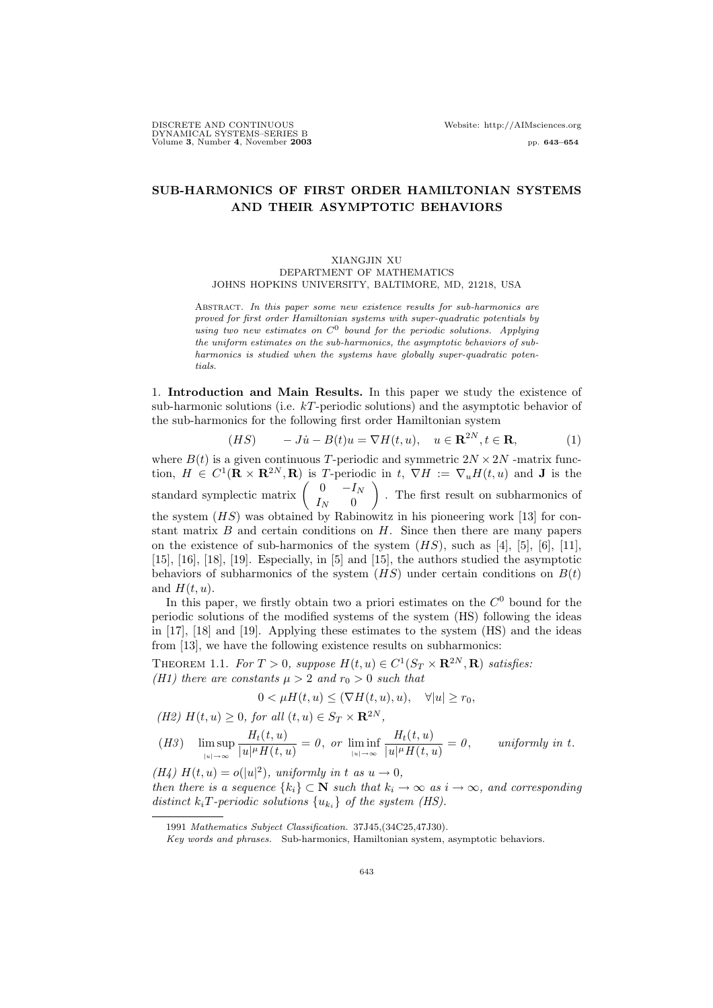# **SUB-HARMONICS OF FIRST ORDER HAMILTONIAN SYSTEMS AND THEIR ASYMPTOTIC BEHAVIORS**

## XIANGJIN XU DEPARTMENT OF MATHEMATICS JOHNS HOPKINS UNIVERSITY, BALTIMORE, MD, 21218, USA

Abstract. *In this paper some new existence results for sub-harmonics are proved for first order Hamiltonian systems with super-quadratic potentials by using two new estimates on C*<sup>0</sup> *bound for the periodic solutions. Applying the uniform estimates on the sub-harmonics, the asymptotic behaviors of subharmonics is studied when the systems have globally super-quadratic potentials.*

1. **Introduction and Main Results.** In this paper we study the existence of sub-harmonic solutions (i.e.  $kT$ -periodic solutions) and the asymptotic behavior of the sub-harmonics for the following first order Hamiltonian system

$$
(HS) \qquad -J\dot{u} - B(t)u = \nabla H(t, u), \quad u \in \mathbf{R}^{2N}, t \in \mathbf{R}, \tag{1}
$$

where  $B(t)$  is a given continuous T-periodic and symmetric  $2N \times 2N$  -matrix function,  $H \in C^1(\mathbf{R} \times \mathbf{R}^{2N}, \mathbf{R})$  is T-periodic in t,  $\nabla H := \nabla_u H(t, u)$  and **J** is the standard symplectic matrix  $\begin{pmatrix} 0 & -I_N \\ I_N & 0 \end{pmatrix}$ - . The first result on subharmonics of the system  $(HS)$  was obtained by Rabinowitz in his pioneering work [13] for constant matrix  $B$  and certain conditions on  $H$ . Since then there are many papers on the existence of sub-harmonics of the system  $(HS)$ , such as [4], [5], [6], [11], [15], [16], [18], [19]. Especially, in [5] and [15], the authors studied the asymptotic behaviors of subharmonics of the system  $(HS)$  under certain conditions on  $B(t)$ and  $H(t, u)$ .

In this paper, we firstly obtain two a priori estimates on the  $C^0$  bound for the periodic solutions of the modified systems of the system (HS) following the ideas in [17], [18] and [19]. Applying these estimates to the system (HS) and the ideas from [13], we have the following existence results on subharmonics:

THEOREM 1.1. *For*  $T > 0$ , suppose  $H(t, u) \in C^1(S_T \times \mathbf{R}^{2N}, \mathbf{R})$  satisfies: *(H1) there are constants*  $\mu > 2$  *and*  $r_0 > 0$  *such that* 

$$
0 < \mu H(t, u) \leq (\nabla H(t, u), u), \quad \forall |u| \geq r_0,
$$

(H2) 
$$
H(t, u) \geq 0
$$
, for all  $(t, u) \in S_T \times \mathbb{R}^{2N}$ ,

$$
(H3)\quad \, \limsup_{|u|\to\infty}\frac{H_t(t,u)}{|u|^\mu H(t,u)}=0,\,\,or\,\,\liminf_{|u|\to\infty}\frac{H_t(t,u)}{|u|^\mu H(t,u)}=0,\qquad \, uniformly\,\,in\,\,t.
$$

(*H4*)  $H(t, u) = o(|u|^2)$ *, uniformly in t as*  $u \to 0$ *, then there is a sequence*  $\{k_i\} \subset \mathbb{N}$  *such that*  $k_i \to \infty$  *as*  $i \to \infty$ *, and corresponding distinct*  $k_i$ **T**-periodic solutions  $\{u_{k_i}\}\$  of the system (HS).

<sup>1991</sup> *Mathematics Subject Classification.* 37J45,(34C25,47J30).

*Key words and phrases.* Sub-harmonics, Hamiltonian system, asymptotic behaviors.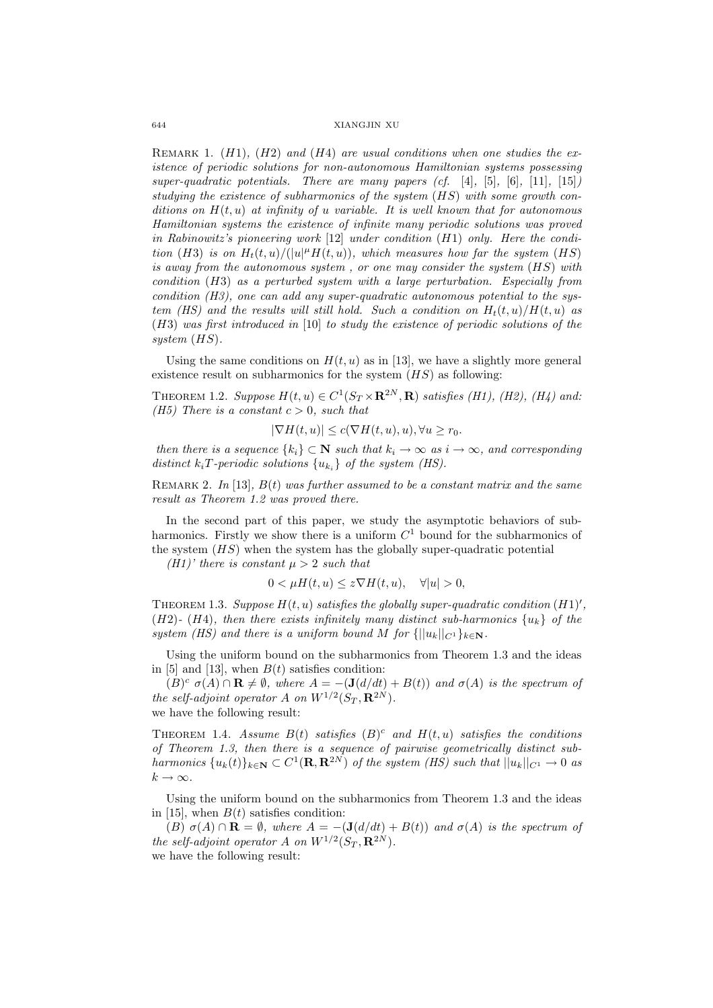Remark 1. (H1)*,* (H2) *and* (H4) *are usual conditions when one studies the existence of periodic solutions for non-autonomous Hamiltonian systems possessing super-quadratic potentials. There are many papers (cf.* [4]*,* [5]*,* [6]*,* [11]*,* [15]*) studying the existence of subharmonics of the system* (HS) *with some growth conditions on* H(t, u) *at infinity of* u *variable. It is well known that for autonomous Hamiltonian systems the existence of infinite many periodic solutions was proved in Rabinowitz's pioneering work* [12] *under condition* (H1) *only. Here the condition* (*H3*) *is on*  $H_t(t, u) / (|u|^{\mu} H(t, u))$ *, which measures how far the system* (*HS*) *is away from the autonomous system , or one may consider the system* (HS) *with condition* (H3) *as a perturbed system with a large perturbation. Especially from condition (H3), one can add any super-quadratic autonomous potential to the system (HS) and the results will still hold. Such a condition on*  $H_t(t, u)/H(t, u)$  *as* (H3) *was first introduced in* [10] *to study the existence of periodic solutions of the system* (HS)*.*

Using the same conditions on  $H(t, u)$  as in [13], we have a slightly more general existence result on subharmonics for the system  $(HS)$  as following:

THEOREM 1.2. *Suppose*  $H(t, u) \in C^1(S_T \times \mathbf{R}^{2N}, \mathbf{R})$  *satisfies* (*H1*), (*H2*), (*H4*) and: *(H5)* There is a constant  $c > 0$ , such that

$$
|\nabla H(t, u)| \le c(\nabla H(t, u), u), \forall u \ge r_0.
$$

*then there is a sequence*  $\{k_i\} \subset \mathbb{N}$  *such that*  $k_i \to \infty$  *as*  $i \to \infty$ *, and corresponding distinct*  $k_i$ **T**-periodic solutions  $\{u_{k_i}\}$  of the system (HS).

Remark 2. *In* [13]*,* B(t) *was further assumed to be a constant matrix and the same result as Theorem 1.2 was proved there.*

In the second part of this paper, we study the asymptotic behaviors of subharmonics. Firstly we show there is a uniform  $C<sup>1</sup>$  bound for the subharmonics of the system  $(HS)$  when the system has the globally super-quadratic potential

*(H1)' there is constant*  $\mu > 2$  *such that* 

$$
0 < \mu H(t, u) \le z \nabla H(t, u), \quad \forall |u| > 0,
$$

THEOREM 1.3. Suppose  $H(t, u)$  satisfies the globally super-quadratic condition  $(H1)'$ , (H2)<sup>-</sup> (H4), then there exists infinitely many distinct sub-harmonics  $\{u_k\}$  of the *system (HS) and there is a uniform bound* M *for*  $\{||u_k||_{C^1}\}_{k\in\mathbb{N}}$ *.* 

Using the uniform bound on the subharmonics from Theorem 1.3 and the ideas in [5] and [13], when  $B(t)$  satisfies condition:

 $(B)^c$   $\sigma(A) \cap \mathbf{R} \neq \emptyset$ , where  $A = -(\mathbf{J}(d/dt) + B(t))$  and  $\sigma(A)$  is the spectrum of *the self-adjoint operator* A *on*  $W^{1/2}(S_T, \mathbf{R}^{2N})$ *.* we have the following result:

THEOREM 1.4. *Assume*  $B(t)$  *satisfies*  $(B)^c$  *and*  $H(t, u)$  *satisfies the conditions of Theorem 1.3, then there is a sequence of pairwise geometrically distinct subharmonics*  $\{u_k(t)\}_{k\in\mathbb{N}} \subset C^1(\mathbf{R}, \mathbf{R}^{2N})$  *of the system (HS) such that*  $||u_k||_{C^1} \to 0$  *as*  $k \to \infty$ .

Using the uniform bound on the subharmonics from Theorem 1.3 and the ideas in [15], when  $B(t)$  satisfies condition:

(B)  $\sigma(A) \cap \mathbf{R} = \emptyset$ , where  $A = -(\mathbf{J}(d/dt) + B(t))$  and  $\sigma(A)$  is the spectrum of *the self-adjoint operator* A *on*  $W^{1/2}(S_T, \mathbf{R}^{2N})$ *.* we have the following result: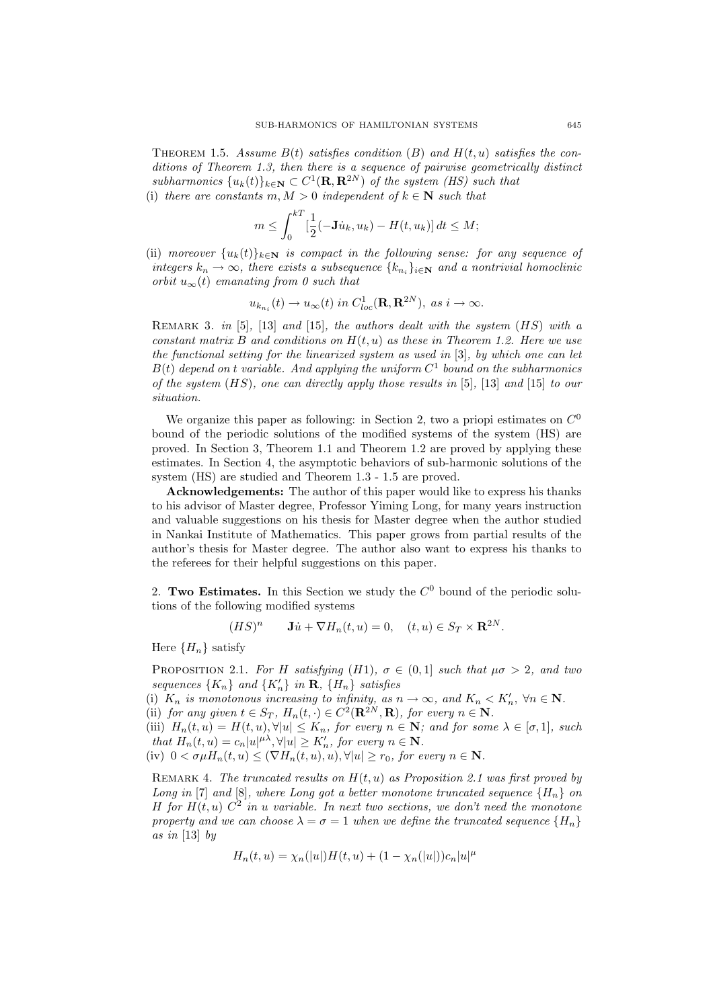THEOREM 1.5. Assume  $B(t)$  satisfies condition  $(B)$  and  $H(t, u)$  satisfies the con*ditions of Theorem 1.3, then there is a sequence of pairwise geometrically distinct subharmonics*  $\{u_k(t)\}_{k\in\mathbb{N}} \subset C^1(\mathbf{R}, \mathbf{R}^{2N})$  *of the system (HS) such that* (i) *there are constants*  $m, M > 0$  *independent of*  $k \in \mathbb{N}$  *such that* 

$$
m \leq \int_0^{kT} \left[\frac{1}{2}(-\mathbf{J}\dot{u}_k, u_k) - H(t, u_k)\right] dt \leq M;
$$

(ii) *moreover*  ${u_k(t)}_{k \in \mathbb{N}}$  *is compact in the following sense: for any sequence of integers*  $k_n \to \infty$ *, there exists a subsequence*  $\{k_{n_i}\}_{i \in \mathbb{N}}$  *and a nontrivial homoclinic orbit*  $u_{\infty}(t)$  *emanating from 0 such that* 

$$
u_{k_{n_i}}(t) \to u_{\infty}(t) \text{ in } C^1_{loc}(\mathbf{R}, \mathbf{R}^{2N}), \text{ as } i \to \infty.
$$

Remark 3. *in* [5]*,* [13] *and* [15]*, the authors dealt with the system* (HS) *with a constant matrix* B *and conditions on* H(t, u) *as these in Theorem 1.2. Here we use the functional setting for the linearized system as used in* [3]*, by which one can let*  $B(t)$  depend on t variable. And applying the uniform  $C<sup>1</sup>$  bound on the subharmonics *of the system* (HS)*, one can directly apply those results in* [5]*,* [13] *and* [15] *to our situation.*

We organize this paper as following: in Section 2, two a priopi estimates on  $C^0$ bound of the periodic solutions of the modified systems of the system (HS) are proved. In Section 3, Theorem 1.1 and Theorem 1.2 are proved by applying these estimates. In Section 4, the asymptotic behaviors of sub-harmonic solutions of the system (HS) are studied and Theorem 1.3 - 1.5 are proved.

**Acknowledgements:** The author of this paper would like to express his thanks to his advisor of Master degree, Professor Yiming Long, for many years instruction and valuable suggestions on his thesis for Master degree when the author studied in Nankai Institute of Mathematics. This paper grows from partial results of the author's thesis for Master degree. The author also want to express his thanks to the referees for their helpful suggestions on this paper.

2. **Two Estimates.** In this Section we study the  $C^0$  bound of the periodic solutions of the following modified systems

$$
(HS)^n \qquad \mathbf{J}\dot{u} + \nabla H_n(t, u) = 0, \quad (t, u) \in S_T \times \mathbf{R}^{2N}.
$$

Here  ${H_n}$  satisfy

**PROPOSITION** 2.1. *For* H *satisfying* (H1),  $\sigma \in (0,1]$  *such that*  $\mu \sigma > 2$ *, and two sequences*  $\{K_n\}$  *and*  $\{K'_n\}$  *in* **R***,*  $\{H_n\}$  *satisfies* 

(i)  $K_n$  *is monotonous increasing to infinity, as*  $n \to \infty$ *, and*  $K_n < K'_n$ ,  $\forall n \in \mathbb{N}$ *.* 

(ii) *for any given*  $t \in S_T$ *,*  $H_n(t, \cdot) \in C^2(\mathbf{R}^{2N}, \mathbf{R})$ *, for every*  $n \in \mathbf{N}$ *.* 

(iii)  $H_n(t, u) = H(t, u), \forall |u| \leq K_n$ , for every  $n \in \mathbb{N}$ ; and for some  $\lambda \in [\sigma, 1]$ , such *that*  $H_n(t, u) = c_n |u|^{\mu \lambda}, \forall |u| \ge K'_n$ , for every  $n \in \mathbb{N}$ .

(iv)  $0 < \sigma \mu H_n(t, u) < (\nabla H_n(t, u), u), \forall |u| > r_0$ , for every  $n \in \mathbb{N}$ .

Remark 4. *The truncated results on* H(t, u) *as Proposition 2.1 was first proved by Long in* [7] *and* [8]*, where Long got a better monotone truncated sequence*  ${H_n}$  *on* H for  $H(t, u)$   $C^2$  *in u variable. In next two sections, we don't need the monotone property and we can choose*  $\lambda = \sigma = 1$  *when we define the truncated sequence*  ${H_n}$ *as in* [13] *by*

$$
H_n(t, u) = \chi_n(|u|)H(t, u) + (1 - \chi_n(|u|))c_n|u|^\mu
$$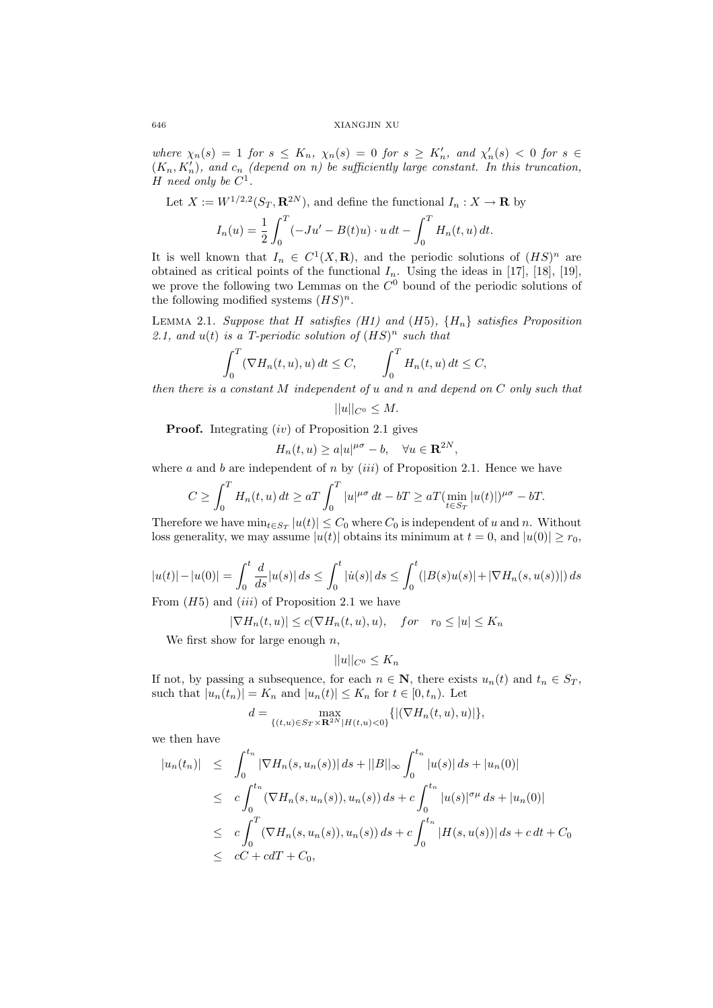where  $\chi_n(s) = 1$  *for*  $s \leq K_n$ ,  $\chi_n(s) = 0$  *for*  $s \geq K'_n$ , and  $\chi'_n(s) < 0$  *for*  $s \in$  $(K_n, K'_n)$ , and  $c_n$  *(depend on n)* be sufficiently large constant. In this truncation, H need only be  $C^1$ .

Let 
$$
X := W^{1/2,2}(S_T, \mathbf{R}^{2N})
$$
, and define the functional  $I_n : X \to \mathbf{R}$  by

$$
I_n(u) = \frac{1}{2} \int_0^T (-Ju' - B(t)u) \cdot u \, dt - \int_0^T H_n(t, u) \, dt.
$$

It is well known that  $I_n \in C^1(X,\mathbf{R})$ , and the periodic solutions of  $(HS)^n$  are obtained as critical points of the functional  $I_n$ . Using the ideas in [17], [18], [19], we prove the following two Lemmas on the  $C<sup>0</sup>$  bound of the periodic solutions of the following modified systems  $(HS)^n$ .

LEMMA 2.1. *Suppose that* H *satisfies* (H1) and (H5),  $\{H_n\}$  *satisfies Proposition* 2.1, and  $u(t)$  *is a T-periodic solution of*  $(HS)^n$  *such that* 

$$
\int_0^T (\nabla H_n(t, u), u) dt \le C, \qquad \int_0^T H_n(t, u) dt \le C,
$$

0 0 *then there is a constant* M *independent of* u *and* n *and depend on* C *only such that*

 $||u||_{C^0} \leq M.$ 

**Proof.** Integrating (iv) of Proposition 2.1 gives

 $H_n(t, u) \ge a|u|^{\mu\sigma} - b, \quad \forall u \in \mathbf{R}^{2N},$ 

where a and b are independent of n by  $(iii)$  of Proposition 2.1. Hence we have

$$
C \ge \int_0^T H_n(t, u) dt \ge aT \int_0^T |u|^{\mu\sigma} dt - bT \ge aT (\min_{t \in S_T} |u(t)|)^{\mu\sigma} - bT.
$$

Therefore we have  $\min_{t \in S_T} |u(t)| \leq C_0$  where  $C_0$  is independent of u and n. Without loss generality, we may assume  $|u(t)|$  obtains its minimum at  $t = 0$ , and  $|u(0)| \ge r_0$ ,

$$
|u(t)| - |u(0)| = \int_0^t \frac{d}{ds} |u(s)| ds \le \int_0^t |u(s)| ds \le \int_0^t (|B(s)u(s)| + |\nabla H_n(s, u(s))|) ds
$$

From  $(H5)$  and  $(iii)$  of Proposition 2.1 we have

$$
|\nabla H_n(t, u)| \le c(\nabla H_n(t, u), u), \quad for \quad r_0 \le |u| \le K_n
$$

We first show for large enough  $n$ ,

$$
||u||_{C^0} \le K_n
$$

If not, by passing a subsequence, for each  $n \in \mathbb{N}$ , there exists  $u_n(t)$  and  $t_n \in S_T$ , such that  $|u_n(t_n)| = K_n$  and  $|u_n(t)| \le K_n$  for  $t \in [0, t_n)$ . Let

$$
d = \max_{\{(t,u)\in S_T\times{\bf R}^{2N}|H(t,u)<0\}}\{|\nabla H_n(t,u),u)|\},\,
$$

we then have

$$
|u_n(t_n)| \leq \int_0^{t_n} |\nabla H_n(s, u_n(s))| ds + ||B||_{\infty} \int_0^{t_n} |u(s)| ds + |u_n(0)|
$$
  
\n
$$
\leq c \int_0^{t_n} (\nabla H_n(s, u_n(s)), u_n(s)) ds + c \int_0^{t_n} |u(s)|^{\sigma \mu} ds + |u_n(0)|
$$
  
\n
$$
\leq c \int_0^T (\nabla H_n(s, u_n(s)), u_n(s)) ds + c \int_0^{t_n} |H(s, u(s))| ds + c dt + C_0
$$
  
\n
$$
\leq cC + c dT + C_0,
$$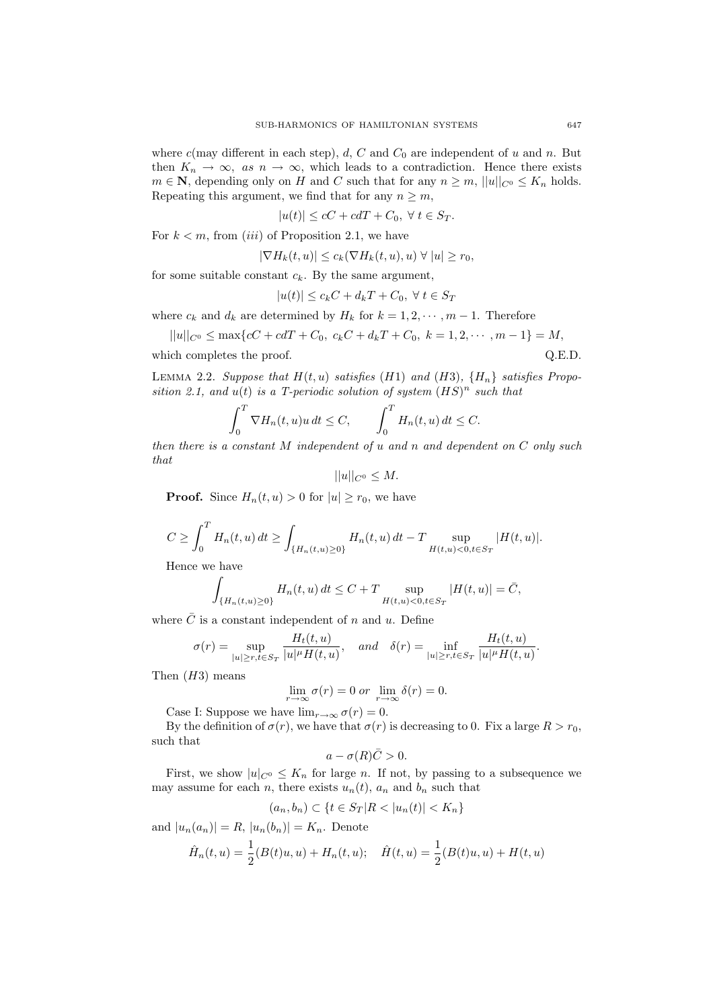where  $c$ (may different in each step),  $d$ ,  $C$  and  $C_0$  are independent of u and n. But then  $K_n \to \infty$ , as  $n \to \infty$ , which leads to a contradiction. Hence there exists  $m \in \mathbb{N}$ , depending only on H and C such that for any  $n \geq m$ ,  $||u||_{C^0} \leq K_n$  holds. Repeating this argument, we find that for any  $n \geq m$ ,

 $|u(t)| \leq cC + c dT + C_0, \ \forall t \in S_T.$ 

For  $k < m$ , from *(iii)* of Proposition 2.1, we have

$$
|\nabla H_k(t, u)| \le c_k (\nabla H_k(t, u), u) \ \forall \ |u| \ge r_0,
$$

for some suitable constant  $c_k$ . By the same argument,

$$
|u(t)| \le c_k C + d_k T + C_0, \ \forall \ t \in S_T
$$

where  $c_k$  and  $d_k$  are determined by  $H_k$  for  $k = 1, 2, \dots, m - 1$ . Therefore

$$
||u||_{C^0} \le \max\{cC + c dT + C_0, c_k C + d_k T + C_0, k = 1, 2, \cdots, m - 1\} = M,
$$

which completes the proof.  $Q.E.D.$ 

LEMMA 2.2. *Suppose that*  $H(t, u)$  *satisfies* (*H1*) *and* (*H3*),  ${H_n}$  *satisfies Proposition 2.1, and*  $u(t)$  *is a T-periodic solution of system*  $(HS)^n$  *such that* 

$$
\int_0^T \nabla H_n(t, u)u \, dt \le C, \qquad \int_0^T H_n(t, u) \, dt \le C.
$$

0 0 *then there is a constant* M *independent of* u *and* n *and dependent on* C *only such that*

 $||u||_{C^0} \leq M.$ 

**Proof.** Since  $H_n(t, u) > 0$  for  $|u| > r_0$ , we have

$$
C \ge \int_0^T H_n(t, u) dt \ge \int_{\{H_n(t, u) \ge 0\}} H_n(t, u) dt - T \sup_{H(t, u) < 0, t \in S_T} |H(t, u)|.
$$

Hence we have

$$
\int_{\{H_n(t,u)\geq 0\}} H_n(t,u) dt \leq C + T \sup_{H(t,u)<0,t\in S_T} |H(t,u)| = \bar{C},
$$

where  $\overline{C}$  is a constant independent of n and u. Define

$$
\sigma(r)=\sup_{|u|\geq r, t\in S_T}\frac{H_t(t,u)}{|u|^{\mu}H(t,u)},\quad and\quad \delta(r)=\inf_{|u|\geq r, t\in S_T}\frac{H_t(t,u)}{|u|^{\mu}H(t,u)}.
$$

Then  $(H3)$  means

$$
\lim_{r \to \infty} \sigma(r) = 0 \text{ or } \lim_{r \to \infty} \delta(r) = 0.
$$

Case I: Suppose we have  $\lim_{r\to\infty} \sigma(r) = 0$ .

By the definition of  $\sigma(r)$ , we have that  $\sigma(r)$  is decreasing to 0. Fix a large  $R>r_0$ , such that

$$
a - \sigma(R)\bar{C} > 0.
$$

First, we show  $|u|_{C^0} \leq K_n$  for large n. If not, by passing to a subsequence we may assume for each n, there exists  $u_n(t)$ ,  $a_n$  and  $b_n$  such that

$$
(a_n, b_n) \subset \{ t \in S_T | R < |u_n(t)| < K_n \}
$$

and  $|u_n(a_n)| = R$ ,  $|u_n(b_n)| = K_n$ . Denote

$$
\hat{H}_n(t, u) = \frac{1}{2}(B(t)u, u) + H_n(t, u); \quad \hat{H}(t, u) = \frac{1}{2}(B(t)u, u) + H(t, u)
$$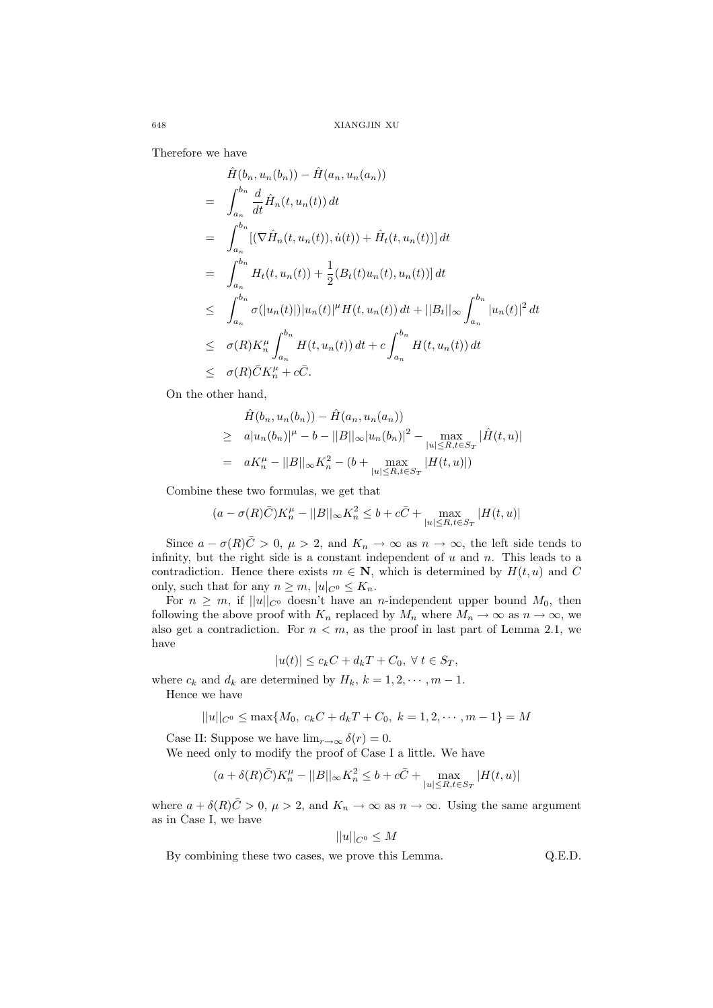Therefore we have

$$
\hat{H}(b_n, u_n(b_n)) - \hat{H}(a_n, u_n(a_n))
$$
\n
$$
= \int_{a_n}^{b_n} \frac{d}{dt} \hat{H}_n(t, u_n(t)) dt
$$
\n
$$
= \int_{a_n}^{b_n} [(\nabla \hat{H}_n(t, u_n(t)), \dot{u}(t)) + \hat{H}_t(t, u_n(t))] dt
$$
\n
$$
= \int_{a_n}^{b_n} H_t(t, u_n(t)) + \frac{1}{2} (B_t(t)u_n(t), u_n(t))] dt
$$
\n
$$
\leq \int_{a_n}^{b_n} \sigma(|u_n(t)|) |u_n(t)|^{\mu} H(t, u_n(t)) dt + ||B_t||_{\infty} \int_{a_n}^{b_n} |u_n(t)|^2 dt
$$
\n
$$
\leq \sigma(R) K_n^{\mu} \int_{a_n}^{b_n} H(t, u_n(t)) dt + c \int_{a_n}^{b_n} H(t, u_n(t)) dt
$$
\n
$$
\leq \sigma(R) \bar{C} K_n^{\mu} + c \bar{C}.
$$

On the other hand,

$$
\hat{H}(b_n, u_n(b_n)) - \hat{H}(a_n, u_n(a_n))
$$
\n
$$
\geq a |u_n(b_n)|^{\mu} - b - ||B||_{\infty} |u_n(b_n)|^2 - \max_{|u| \leq R, t \in S_T} |\hat{H}(t, u)|
$$
\n
$$
= a K_n^{\mu} - ||B||_{\infty} K_n^2 - (b + \max_{|u| \leq R, t \in S_T} |H(t, u)|)
$$

Combine these two formulas, we get that

$$
(a-\sigma(R)\bar{C})K_n^\mu-||B||_\infty K_n^2\leq b+c\bar{C}+\max_{|u|\leq R, t\in S_T}|H(t,u)|
$$

Since  $a - \sigma(R)\bar{C} > 0$ ,  $\mu > 2$ , and  $K_n \to \infty$  as  $n \to \infty$ , the left side tends to infinity, but the right side is a constant independent of  $u$  and  $n$ . This leads to a contradiction. Hence there exists  $m \in \mathbb{N}$ , which is determined by  $H(t, u)$  and C only, such that for any  $n \geq m$ ,  $|u|_{C^0} \leq K_n$ .

For  $n \geq m$ , if  $||u||_{C^0}$  doesn't have an *n*-independent upper bound  $M_0$ , then following the above proof with  $K_n$  replaced by  $M_n$  where  $M_n \to \infty$  as  $n \to \infty$ , we also get a contradiction. For  $n < m$ , as the proof in last part of Lemma 2.1, we have

$$
|u(t)| \le c_k C + d_k T + C_0, \ \forall \ t \in S_T,
$$

where  $c_k$  and  $d_k$  are determined by  $H_k$ ,  $k = 1, 2, \dots, m - 1$ .

Hence we have

$$
||u||_{C^0} \le \max\{M_0, c_k C + d_k T + C_0, k = 1, 2, \cdots, m - 1\} = M
$$

Case II: Suppose we have  $\lim_{r\to\infty} \delta(r) = 0$ .

We need only to modify the proof of Case I a little. We have

$$
(a+\delta(R)\bar{C})K_n^{\mu} - ||B||_{\infty}K_n^2 \le b + c\bar{C} + \max_{|u| \le R, t \in S_T} |H(t, u)|
$$

where  $a + \delta(R)\bar{C} > 0$ ,  $\mu > 2$ , and  $K_n \to \infty$  as  $n \to \infty$ . Using the same argument as in Case I, we have

$$
||u||_{C^0} \le M
$$

By combining these two cases, we prove this Lemma.  $Q.E.D.$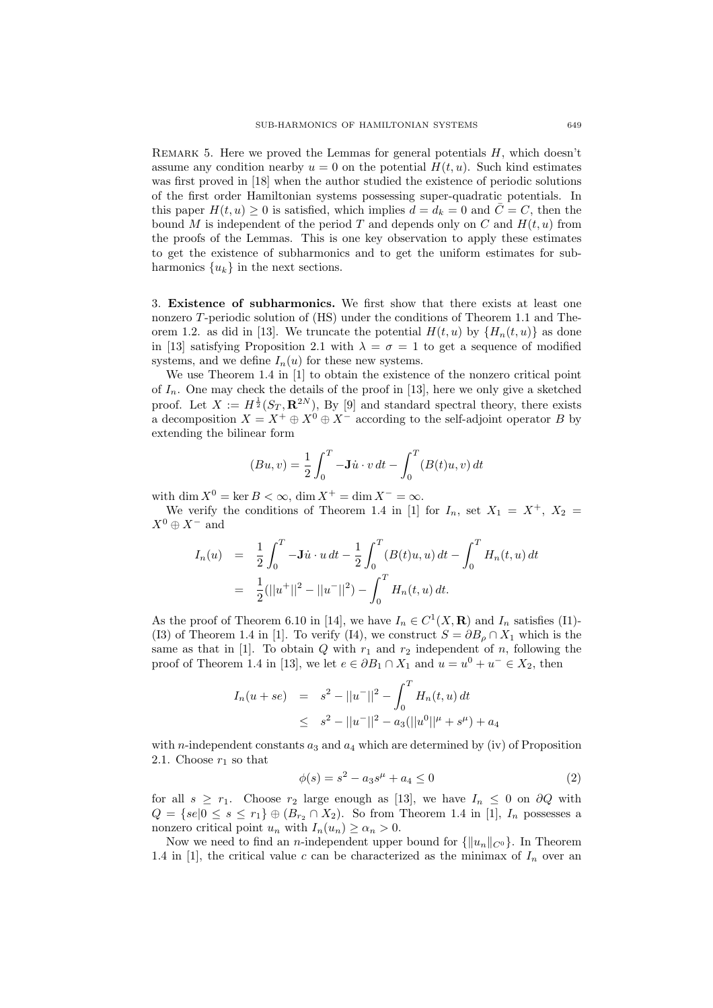REMARK 5. Here we proved the Lemmas for general potentials  $H$ , which doesn't assume any condition nearby  $u = 0$  on the potential  $H(t, u)$ . Such kind estimates was first proved in [18] when the author studied the existence of periodic solutions of the first order Hamiltonian systems possessing super-quadratic potentials. In this paper  $H(t, u) \geq 0$  is satisfied, which implies  $d = d_k = 0$  and  $\overline{C} = C$ , then the bound M is independent of the period T and depends only on C and  $H(t, u)$  from the proofs of the Lemmas. This is one key observation to apply these estimates to get the existence of subharmonics and to get the uniform estimates for subharmonics  $\{u_k\}$  in the next sections.

3. **Existence of subharmonics.** We first show that there exists at least one nonzero T-periodic solution of (HS) under the conditions of Theorem 1.1 and Theorem 1.2. as did in [13]. We truncate the potential  $H(t, u)$  by  $\{H_n(t, u)\}\)$  as done in [13] satisfying Proposition 2.1 with  $\lambda = \sigma = 1$  to get a sequence of modified systems, and we define  $I_n(u)$  for these new systems.

We use Theorem 1.4 in [1] to obtain the existence of the nonzero critical point of  $I_n$ . One may check the details of the proof in [13], here we only give a sketched proof. Let  $X := H^{\frac{1}{2}}(S_T, \mathbf{R}^{2N})$ , By [9] and standard spectral theory, there exists a decomposition  $X = X^+ \oplus X^0 \oplus X^-$  according to the self-adjoint operator B by extending the bilinear form

$$
(Bu, v) = \frac{1}{2} \int_0^T -\mathbf{J}\dot{u} \cdot v dt - \int_0^T (B(t)u, v) dt
$$

with dim  $X^0 = \ker B < \infty$ , dim  $X^+ = \dim X^- = \infty$ .

We verify the conditions of Theorem 1.4 in [1] for  $I_n$ , set  $X_1 = X^+$ ,  $X_2 =$  $X^0 \oplus X^-$  and

$$
I_n(u) = \frac{1}{2} \int_0^T -\mathbf{J} \dot{u} \cdot u \, dt - \frac{1}{2} \int_0^T (B(t)u, u) \, dt - \int_0^T H_n(t, u) \, dt
$$

$$
= \frac{1}{2} (||u^+||^2 - ||u^-||^2) - \int_0^T H_n(t, u) \, dt.
$$

As the proof of Theorem 6.10 in [14], we have  $I_n \in C^1(X, \mathbf{R})$  and  $I_n$  satisfies (I1)-(I3) of Theorem 1.4 in [1]. To verify (I4), we construct  $S = \partial B_{\rho} \cap X_1$  which is the same as that in [1]. To obtain  $Q$  with  $r_1$  and  $r_2$  independent of n, following the proof of Theorem 1.4 in [13], we let  $e \in \partial B_1 \cap X_1$  and  $u = u^0 + u^- \in X_2$ , then

$$
I_n(u + s e) = s^2 - ||u||^2 - \int_0^T H_n(t, u) dt
$$
  
 
$$
\leq s^2 - ||u||^2 - a_3(||u^0||^{\mu} + s^{\mu}) + a_4
$$

with *n*-independent constants  $a_3$  and  $a_4$  which are determined by (iv) of Proposition 2.1. Choose  $r_1$  so that

$$
\phi(s) = s^2 - a_3 s^{\mu} + a_4 \le 0 \tag{2}
$$

for all  $s \geq r_1$ . Choose  $r_2$  large enough as [13], we have  $I_n \leq 0$  on  $\partial Q$  with  $Q = \{se|0 \le s \le r_1\} \oplus (B_{r_2} \cap X_2)$ . So from Theorem 1.4 in [1],  $I_n$  possesses a nonzero critical point  $u_n$  with  $I_n(u_n) \geq \alpha_n > 0$ .

Now we need to find an *n*-independent upper bound for  $\{\|u_n\|_{C^0}\}$ . In Theorem 1.4 in [1], the critical value c can be characterized as the minimax of  $I_n$  over an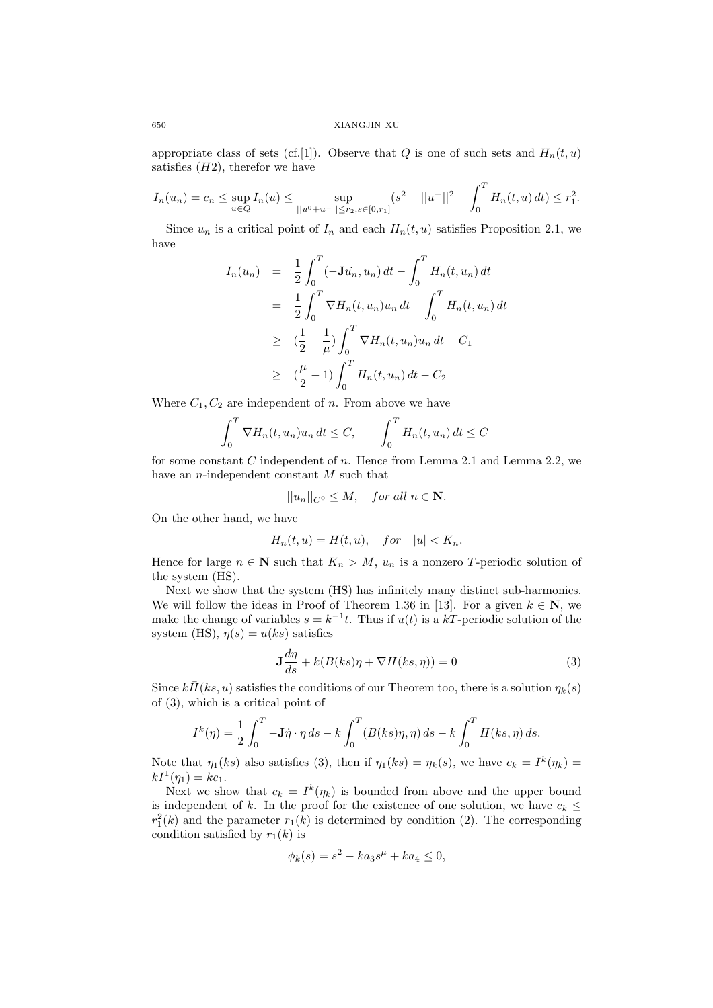appropriate class of sets (cf.[1]). Observe that Q is one of such sets and  $H_n(t, u)$ satisfies  $(H2)$ , therefor we have

$$
I_n(u_n) = c_n \le \sup_{u \in Q} I_n(u) \le \sup_{||u^0 + u^-|| \le r_2, s \in [0, r_1]} (s^2 - ||u^-||^2 - \int_0^T H_n(t, u) dt) \le r_1^2.
$$

Since  $u_n$  is a critical point of  $I_n$  and each  $H_n(t, u)$  satisfies Proposition 2.1, we have

$$
I_n(u_n) = \frac{1}{2} \int_0^T (-\mathbf{J}u_n, u_n) dt - \int_0^T H_n(t, u_n) dt
$$
  
\n
$$
= \frac{1}{2} \int_0^T \nabla H_n(t, u_n) u_n dt - \int_0^T H_n(t, u_n) dt
$$
  
\n
$$
\geq (\frac{1}{2} - \frac{1}{\mu}) \int_0^T \nabla H_n(t, u_n) u_n dt - C_1
$$
  
\n
$$
\geq (\frac{\mu}{2} - 1) \int_0^T H_n(t, u_n) dt - C_2
$$

Where  $C_1, C_2$  are independent of n. From above we have

$$
\int_0^T \nabla H_n(t, u_n) u_n dt \le C, \qquad \int_0^T H_n(t, u_n) dt \le C
$$

for some constant C independent of n. Hence from Lemma 2.1 and Lemma 2.2, we have an  $n$ -independent constant  $M$  such that

$$
||u_n||_{C^0} \le M, \quad \text{for all } n \in \mathbf{N}.
$$

On the other hand, we have

$$
H_n(t, u) = H(t, u), \quad for \quad |u| < K_n.
$$

Hence for large  $n \in \mathbb{N}$  such that  $K_n > M$ ,  $u_n$  is a nonzero T-periodic solution of the system (HS).

Next we show that the system (HS) has infinitely many distinct sub-harmonics. We will follow the ideas in Proof of Theorem 1.36 in [13]. For a given  $k \in \mathbb{N}$ , we make the change of variables  $s = k^{-1}t$ . Thus if  $u(t)$  is a kT-periodic solution of the system (HS),  $\eta(s) = u(ks)$  satisfies

$$
\mathbf{J}\frac{d\eta}{ds} + k(B(ks)\eta + \nabla H(ks,\eta)) = 0\tag{3}
$$

Since  $k\bar{H}(ks, u)$  satisfies the conditions of our Theorem too, there is a solution  $\eta_k(s)$ of (3), which is a critical point of

$$
I^k(\eta) = \frac{1}{2} \int_0^T -\mathbf{J}\dot{\eta} \cdot \eta \, ds - k \int_0^T (B(ks)\eta, \eta) \, ds - k \int_0^T H(ks, \eta) \, ds.
$$

Note that  $\eta_1(ks)$  also satisfies (3), then if  $\eta_1(ks) = \eta_k(s)$ , we have  $c_k = I^k(\eta_k) = hI^1(\eta_k)$  $kI^{1}(\eta_{1}) = kc_{1}.$ 

Next we show that  $c_k = I^k(\eta_k)$  is bounded from above and the upper bound is independent of k. In the proof for the existence of one solution, we have  $c_k \leq$  $r_1^2(k)$  and the parameter  $r_1(k)$  is determined by condition (2). The corresponding condition setisfied by  $r_1(k)$  is condition satisfied by  $r_1(k)$  is

$$
\phi_k(s) = s^2 - ka_3 s^{\mu} + ka_4 \le 0,
$$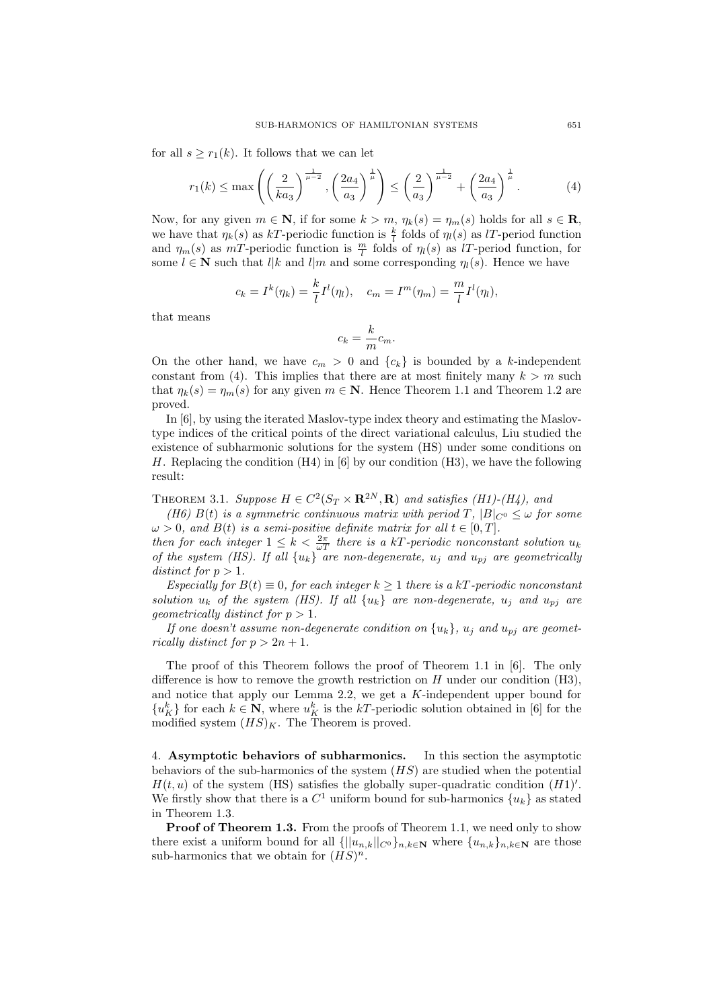for all  $s \geq r_1(k)$ . It follows that we can let

$$
r_1(k) \le \max\left( \left(\frac{2}{ka_3}\right)^{\frac{1}{\mu-2}}, \left(\frac{2a_4}{a_3}\right)^{\frac{1}{\mu}} \right) \le \left(\frac{2}{a_3}\right)^{\frac{1}{\mu-2}} + \left(\frac{2a_4}{a_3}\right)^{\frac{1}{\mu}}.
$$
 (4)

Now, for any given  $m \in \mathbb{N}$ , if for some  $k > m$ ,  $\eta_k(s) = \eta_m(s)$  holds for all  $s \in \mathbb{R}$ , we have that  $\eta_k(s)$  as kT-periodic function is  $\frac{k}{l}$  folds of  $\eta_l(s)$  as lT-period function and  $\eta_m(s)$  as  $mT$ -periodic function is  $\frac{m}{l}$  folds of  $\eta_l(s)$  as lT-period function, for some  $l \in \mathbb{N}$  such that  $l|k$  and  $l|m$  and some corresponding  $\eta_l(s)$ . Hence we have

$$
c_k = I^k(\eta_k) = \frac{k}{l} I^l(\eta_l), \quad c_m = I^m(\eta_m) = \frac{m}{l} I^l(\eta_l),
$$

that means

$$
c_k = \frac{k}{m}c_m.
$$

On the other hand, we have  $c_m > 0$  and  $\{c_k\}$  is bounded by a k-independent constant from (4). This implies that there are at most finitely many  $k>m$  such that  $\eta_k(s) = \eta_m(s)$  for any given  $m \in \mathbb{N}$ . Hence Theorem 1.1 and Theorem 1.2 are proved.

In [6], by using the iterated Maslov-type index theory and estimating the Maslovtype indices of the critical points of the direct variational calculus, Liu studied the existence of subharmonic solutions for the system (HS) under some conditions on H. Replacing the condition (H4) in [6] by our condition (H3), we have the following result:

THEOREM 3.1. *Suppose*  $H \in C^2(S_T \times \mathbf{R}^{2N}, \mathbf{R})$  *and satisfies (H1)-(H4), and* 

*(H6)*  $B(t)$  *is a symmetric continuous matrix with period T,*  $|B|_{C^0} \leq \omega$  *for some*  $\omega > 0$ , and  $B(t)$  is a semi-positive definite matrix for all  $t \in [0, T]$ .

*then for each integer*  $1 \leq k < \frac{2\pi}{\omega T}$  *there is a kT-periodic nonconstant solution*  $u_k$ *of the system (HS). If all*  ${u_k}$   $\tilde{a}$  *are non-degenerate,*  $u_j$  *and*  $u_{pj}$  *are geometrically distinct for*  $p > 1$ *.* 

*Especially for*  $B(t) \equiv 0$ *, for each integer*  $k \ge 1$  *there is a* kT-periodic nonconstant *solution*  $u_k$  *of the system (HS). If all*  $\{u_k\}$  *are non-degenerate,*  $u_j$  *and*  $u_{pj}$  *are geometrically distinct for*  $p > 1$ *.* 

*If one doesn't assume non-degenerate condition on*  $\{u_k\}$ ,  $u_j$  *and*  $u_{pj}$  *are geometrically distinct for*  $p > 2n + 1$ *.* 

The proof of this Theorem follows the proof of Theorem 1.1 in [6]. The only difference is how to remove the growth restriction on  $H$  under our condition (H3), and notice that apply our Lemma 2.2, we get a K-independent upper bound for  ${u_K^k}$  for each  $k \in \mathbb{N}$ , where  $u_K^k$  is the kT-periodic solution obtained in [6] for the modified system  $(HS)_K$ . The Theorem is proved.

4. **Asymptotic behaviors of subharmonics.** In this section the asymptotic behaviors of the sub-harmonics of the system  $(HS)$  are studied when the potential  $H(t, u)$  of the system (HS) satisfies the globally super-quadratic condition  $(H1)'$ . We firstly show that there is a  $C^1$  uniform bound for sub-harmonics  $\{u_k\}$  as stated in Theorem 1.3.

**Proof of Theorem 1.3.** From the proofs of Theorem 1.1, we need only to show there exist a uniform bound for all  $\{||u_{n,k}||_{C^0}\}_{n,k\in\mathbb{N}}$  where  $\{u_{n,k}\}_{n,k\in\mathbb{N}}$  are those sub-harmonics that we obtain for  $(HS)^n$ .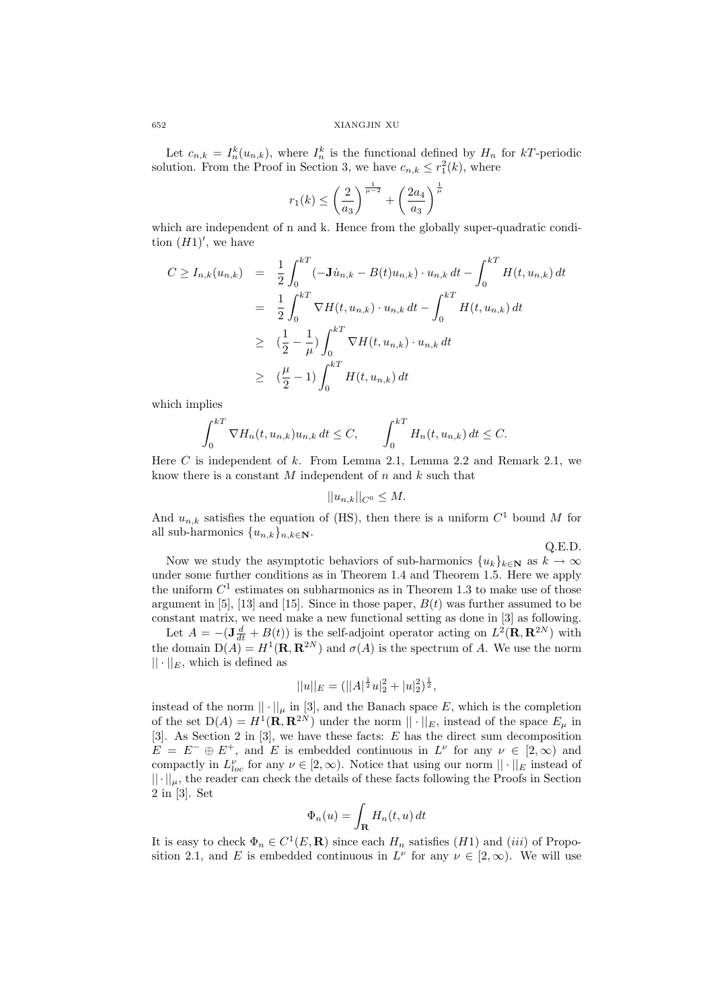Let  $c_{n,k} = I_n^k(u_{n,k})$ , where  $I_n^k$  is the functional defined by  $H_n$  for kT-periodic solution. From the Proof in Section 3, we have  $c_{n,k} \leq r_1^2(k)$ , where

$$
r_1(k) \le \left(\frac{2}{a_3}\right)^{\frac{1}{\mu-2}} + \left(\frac{2a_4}{a_3}\right)^{\frac{1}{\mu}}
$$

which are independent of n and k. Hence from the globally super-quadratic condition  $(H1)'$ , we have

$$
C \ge I_{n,k}(u_{n,k}) = \frac{1}{2} \int_0^{kT} (-\mathbf{J} \dot{u}_{n,k} - B(t)u_{n,k}) \cdot u_{n,k} dt - \int_0^{kT} H(t, u_{n,k}) dt
$$
  
\n
$$
= \frac{1}{2} \int_0^{kT} \nabla H(t, u_{n,k}) \cdot u_{n,k} dt - \int_0^{kT} H(t, u_{n,k}) dt
$$
  
\n
$$
\ge \left(\frac{1}{2} - \frac{1}{\mu}\right) \int_0^{kT} \nabla H(t, u_{n,k}) \cdot u_{n,k} dt
$$
  
\n
$$
\ge \left(\frac{\mu}{2} - 1\right) \int_0^{kT} H(t, u_{n,k}) dt
$$

which implies

$$
\int_0^{kT} \nabla H_n(t, u_{n,k}) u_{n,k} dt \le C, \qquad \int_0^{kT} H_n(t, u_{n,k}) dt \le C.
$$

Here C is independent of k. From Lemma 2.1, Lemma 2.2 and Remark 2.1, we know there is a constant  $M$  independent of  $n$  and  $k$  such that

$$
||u_{n,k}||_{C^0} \leq M.
$$

And  $u_{n,k}$  satisfies the equation of (HS), then there is a uniform  $C^1$  bound M for all sub-harmonics  $\{u_{n,k}\}_{{n,k\in\mathbb{N}}}$ .

Q.E.D.

Now we study the asymptotic behaviors of sub-harmonics  ${u_k}_{k \in \mathbb{N}}$  as  $k \to \infty$ under some further conditions as in Theorem 1.4 and Theorem 1.5. Here we apply the uniform  $C<sup>1</sup>$  estimates on subharmonics as in Theorem 1.3 to make use of those argument in [5], [13] and [15]. Since in those paper,  $B(t)$  was further assumed to be constant matrix, we need make a new functional setting as done in [3] as following.

Let  $A = -(\mathbf{J} \frac{d}{dt} + B(t))$  is the self-adjoint operator acting on  $L^2(\mathbf{R}, \mathbf{R}^{2N})$  with the domain  $D(A) = H^1(\mathbf{R}, \mathbf{R}^{2N})$  and  $\sigma(A)$  is the spectrum of A. We use the norm  $|| \cdot ||_E$ , which is defined as

$$
||u||_E = (||A|^{\frac{1}{2}}u||_2^2 + |u||_2^2)^{\frac{1}{2}},
$$

instead of the norm  $|| \cdot ||_{\mu}$  in [3], and the Banach space E, which is the completion of the set  $D(A) = H^1(\mathbf{R}, \mathbf{R}^{2N})$  under the norm  $\|\cdot\|_E$ , instead of the space  $E_\mu$  in [3]. As Section 2 in [3], we have these facts: E has the direct sum decomposition  $E = E^- \oplus E^+$ , and E is embedded continuous in  $L^{\nu}$  for any  $\nu \in [2, \infty)$  and compactly in  $L_{loc}^{\nu}$  for any  $\nu \in [2,\infty)$ . Notice that using our norm  $||\cdot||_E$  instead of  $|| \cdot ||_{\mu}$ , the reader can check the details of these facts following the Proofs in Section 2 in [3]. Set

$$
\Phi_n(u) = \int_{\mathbf{R}} H_n(t, u) dt
$$

It is easy to check  $\Phi_n \in C^1(E, \mathbf{R})$  since each  $H_n$  satisfies  $(H1)$  and  $(iii)$  of Proposition 2.1, and E is embedded continuous in  $L^{\nu}$  for any  $\nu \in [2,\infty)$ . We will use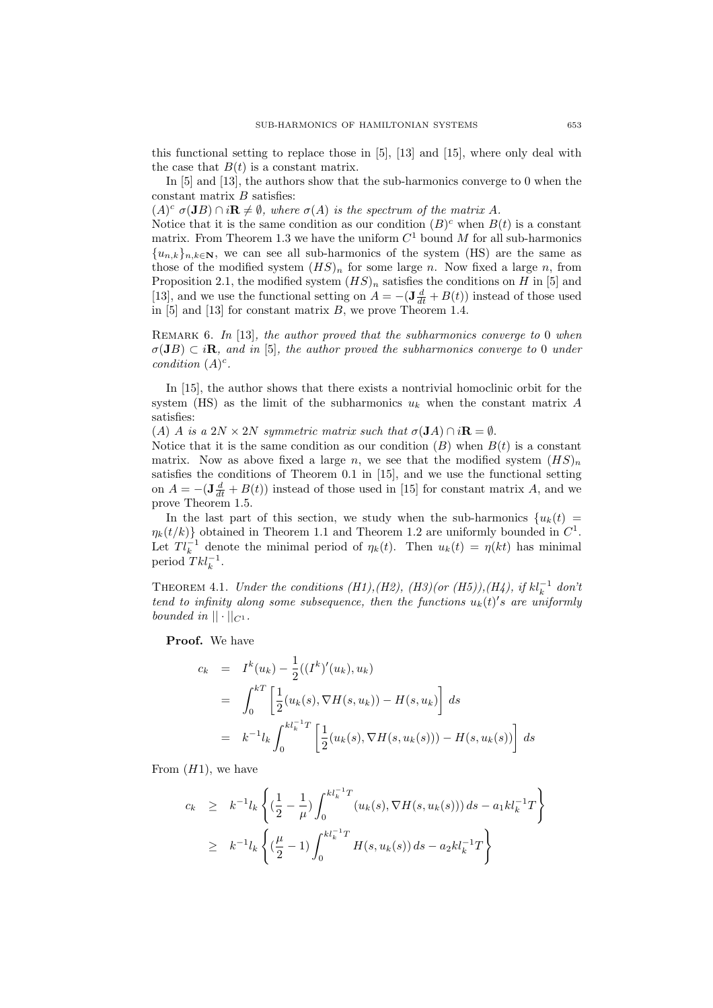this functional setting to replace those in [5], [13] and [15], where only deal with the case that  $B(t)$  is a constant matrix.

In [5] and [13], the authors show that the sub-harmonics converge to 0 when the constant matrix  $B$  satisfies:

 $(A)^c$   $\sigma(\mathbf{J}B) \cap i\mathbf{R} \neq \emptyset$ , where  $\sigma(A)$  is the spectrum of the matrix A.

Notice that it is the same condition as our condition  $(B)^c$  when  $B(t)$  is a constant matrix. From Theorem 1.3 we have the uniform  $C<sup>1</sup>$  bound M for all sub-harmonics  ${u_{n,k}}_{n,k\in\mathbb{N}}$ , we can see all sub-harmonics of the system (HS) are the same as those of the modified system  $(HS)<sub>n</sub>$  for some large n. Now fixed a large n, from Proposition 2.1, the modified system  $(HS)<sub>n</sub>$  satisfies the conditions on H in [5] and [13], and we use the functional setting on  $\ddot{A} = -(\mathbf{J} \frac{d}{dt} + B(t))$  instead of those used in  $[5]$  and  $[13]$  for constant matrix B, we prove Theorem 1.4.

Remark 6. *In* [13]*, the author proved that the subharmonics converge to* 0 *when*  $\sigma(\mathbf{J}B) \subset i\mathbf{R}$ *, and in* [5]*, the author proved the subharmonics converge to* 0 *under condition*  $(A)^c$ *.* 

In [15], the author shows that there exists a nontrivial homoclinic orbit for the system (HS) as the limit of the subharmonics  $u_k$  when the constant matrix A satisfies:

(A) A *is a*  $2N \times 2N$  *symmetric matrix such that*  $\sigma(\mathbf{J}A) \cap i\mathbf{R} = \emptyset$ .

Notice that it is the same condition as our condition  $(B)$  when  $B(t)$  is a constant matrix. Now as above fixed a large n, we see that the modified system  $(HS)<sub>n</sub>$ satisfies the conditions of Theorem 0.1 in [15], and we use the functional setting on  $A = -(\mathbf{J}\frac{d}{dt} + B(t))$  instead of those used in [15] for constant matrix A, and we prove Theorem 1.5.

In the last part of this section, we study when the sub-harmonics  $\{u_k(t) =$  $\eta_k(t/k)$  obtained in Theorem 1.1 and Theorem 1.2 are uniformly bounded in  $C^1$ . Let  $T l_k^{-1}$  denote the minimal period of  $\eta_k(t)$ . Then  $u_k(t) = \eta(kt)$  has minimal period  $T k l_k^{-1}$ .

THEOREM 4.1. *Under the conditions (H1),(H2), (H3)(or (H5)),(H4), if*  $kl_k^{-1}$  *don't* tend to infinity along some subsequence, then the functions  $u_k(t)$ 's are uniformly *bounded in*  $|| \cdot ||_{C^1}$ .

**Proof.** We have

$$
c_k = I^k(u_k) - \frac{1}{2}((I^k)'(u_k), u_k)
$$
  
= 
$$
\int_0^{kT} \left[ \frac{1}{2} (u_k(s), \nabla H(s, u_k)) - H(s, u_k) \right] ds
$$
  
= 
$$
k^{-1} l_k \int_0^{k l_k^{-1} T} \left[ \frac{1}{2} (u_k(s), \nabla H(s, u_k(s))) - H(s, u_k(s)) \right] ds
$$

From  $(H1)$ , we have

$$
c_k \geq k^{-1} l_k \left\{ \left( \frac{1}{2} - \frac{1}{\mu} \right) \int_0^{k l_k^{-1} T} (u_k(s), \nabla H(s, u_k(s))) ds - a_1 k l_k^{-1} T \right\}
$$
  

$$
\geq k^{-1} l_k \left\{ \left( \frac{\mu}{2} - 1 \right) \int_0^{k l_k^{-1} T} H(s, u_k(s)) ds - a_2 k l_k^{-1} T \right\}
$$